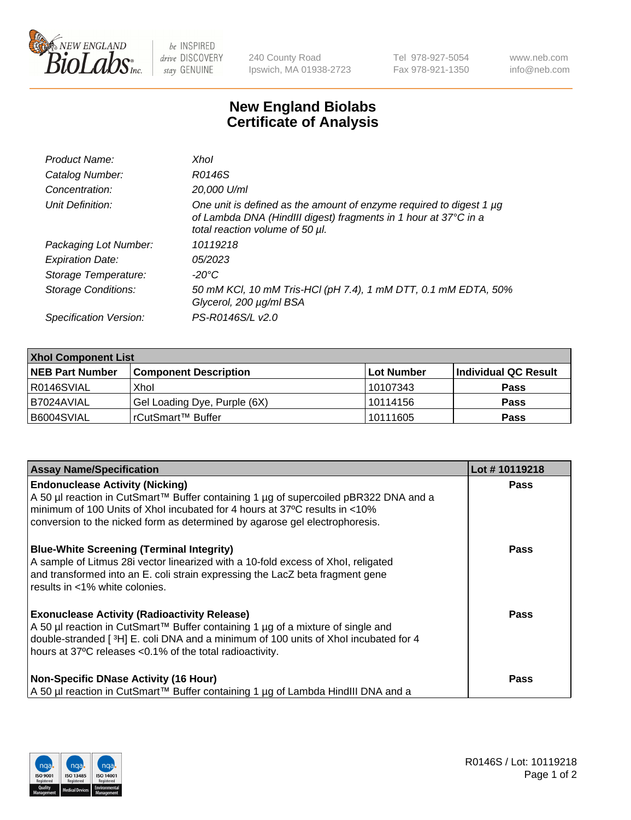

 $be$  INSPIRED drive DISCOVERY stay GENUINE

240 County Road Ipswich, MA 01938-2723 Tel 978-927-5054 Fax 978-921-1350 www.neb.com info@neb.com

## **New England Biolabs Certificate of Analysis**

| Product Name:              | Xhol                                                                                                                                                                      |
|----------------------------|---------------------------------------------------------------------------------------------------------------------------------------------------------------------------|
| Catalog Number:            | R0146S                                                                                                                                                                    |
| Concentration:             | 20,000 U/ml                                                                                                                                                               |
| Unit Definition:           | One unit is defined as the amount of enzyme required to digest 1 µg<br>of Lambda DNA (HindIII digest) fragments in 1 hour at 37°C in a<br>total reaction volume of 50 µl. |
| Packaging Lot Number:      | 10119218                                                                                                                                                                  |
| <b>Expiration Date:</b>    | 05/2023                                                                                                                                                                   |
| Storage Temperature:       | -20°C                                                                                                                                                                     |
| <b>Storage Conditions:</b> | 50 mM KCl, 10 mM Tris-HCl (pH 7.4), 1 mM DTT, 0.1 mM EDTA, 50%<br>Glycerol, 200 µg/ml BSA                                                                                 |
| Specification Version:     | PS-R0146S/L v2.0                                                                                                                                                          |

| <b>Xhol Component List</b> |                              |             |                      |  |  |
|----------------------------|------------------------------|-------------|----------------------|--|--|
| <b>NEB Part Number</b>     | <b>Component Description</b> | ∣Lot Number | Individual QC Result |  |  |
| I R0146SVIAL               | Xhol                         | 10107343    | <b>Pass</b>          |  |  |
| I B7024AVIAL               | Gel Loading Dye, Purple (6X) | 10114156    | <b>Pass</b>          |  |  |
| B6004SVIAL                 | rCutSmart™ Buffer            | 10111605    | <b>Pass</b>          |  |  |

| <b>Assay Name/Specification</b>                                                                                                                                                                                                                                                             | Lot #10119218 |
|---------------------------------------------------------------------------------------------------------------------------------------------------------------------------------------------------------------------------------------------------------------------------------------------|---------------|
| <b>Endonuclease Activity (Nicking)</b><br>A 50 µl reaction in CutSmart™ Buffer containing 1 µg of supercoiled pBR322 DNA and a<br>minimum of 100 Units of Xhol incubated for 4 hours at 37°C results in <10%<br>conversion to the nicked form as determined by agarose gel electrophoresis. | <b>Pass</b>   |
| <b>Blue-White Screening (Terminal Integrity)</b><br>A sample of Litmus 28i vector linearized with a 10-fold excess of Xhol, religated<br>and transformed into an E. coli strain expressing the LacZ beta fragment gene<br>results in <1% white colonies.                                    | <b>Pass</b>   |
| <b>Exonuclease Activity (Radioactivity Release)</b><br>A 50 µl reaction in CutSmart™ Buffer containing 1 µg of a mixture of single and<br>double-stranded [3H] E. coli DNA and a minimum of 100 units of Xhol incubated for 4<br>hours at 37°C releases <0.1% of the total radioactivity.   | Pass          |
| <b>Non-Specific DNase Activity (16 Hour)</b><br>A 50 µl reaction in CutSmart™ Buffer containing 1 µg of Lambda HindIII DNA and a                                                                                                                                                            | Pass          |